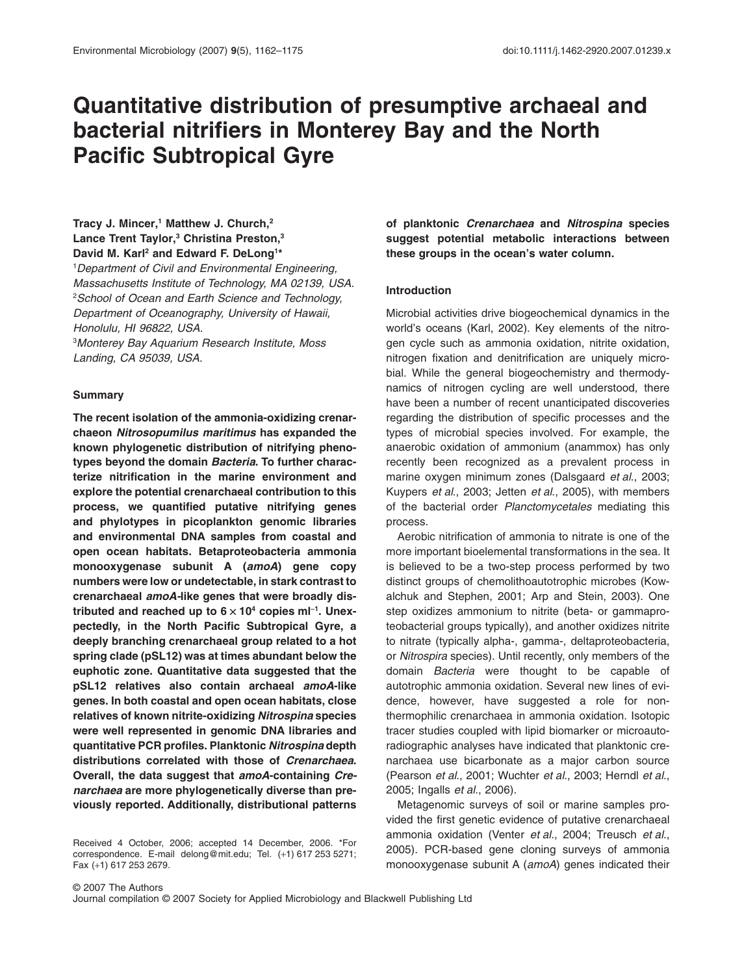# **Quantitative distribution of presumptive archaeal and bacterial nitrifiers in Monterey Bay and the North Pacific Subtropical Gyre**

Tracy J. Mincer,<sup>1</sup> Matthew J. Church,<sup>2</sup> **Lance Trent Taylor,3 Christina Preston,3 David M. Karl2 and Edward F. DeLong1 \***

1 *Department of Civil and Environmental Engineering, Massachusetts Institute of Technology, MA 02139, USA.* 2 *School of Ocean and Earth Science and Technology, Department of Oceanography, University of Hawaii, Honolulu, HI 96822, USA.*

3 *Monterey Bay Aquarium Research Institute, Moss Landing, CA 95039, USA.*

#### **Summary**

**The recent isolation of the ammonia-oxidizing crenarchaeon** *Nitrosopumilus maritimus* **has expanded the known phylogenetic distribution of nitrifying phenotypes beyond the domain** *Bacteria***. To further characterize nitrification in the marine environment and explore the potential crenarchaeal contribution to this process, we quantified putative nitrifying genes and phylotypes in picoplankton genomic libraries and environmental DNA samples from coastal and open ocean habitats. Betaproteobacteria ammonia monooxygenase subunit A (***amoA***) gene copy numbers were low or undetectable, in stark contrast to crenarchaeal** *amoA-***like genes that were broadly dis**tributed and reached up to  $6 \times 10^4$  copies ml<sup>-1</sup>. Unex**pectedly, in the North Pacific Subtropical Gyre, a deeply branching crenarchaeal group related to a hot spring clade (pSL12) was at times abundant below the euphotic zone. Quantitative data suggested that the pSL12 relatives also contain archaeal** *amoA***-like genes. In both coastal and open ocean habitats, close relatives of known nitrite-oxidizing** *Nitrospina* **species were well represented in genomic DNA libraries and quantitative PCR profiles. Planktonic** *Nitrospina* **depth distributions correlated with those of** *Crenarchaea***. Overall, the data suggest that** *amoA***-containing** *Crenarchaea* **are more phylogenetically diverse than previously reported. Additionally, distributional patterns**

Received 4 October, 2006; accepted 14 December, 2006. \*For correspondence. E-mail [delong@mit.edu;](mailto:delong@mit.edu) Tel. (+1) 617 253 5271; Fax (+1) 617 253 2679.

**of planktonic** *Crenarchaea* **and** *Nitrospina* **species suggest potential metabolic interactions between these groups in the ocean's water column.**

#### **Introduction**

Microbial activities drive biogeochemical dynamics in the world's oceans (Karl, 2002). Key elements of the nitrogen cycle such as ammonia oxidation, nitrite oxidation, nitrogen fixation and denitrification are uniquely microbial. While the general biogeochemistry and thermodynamics of nitrogen cycling are well understood, there have been a number of recent unanticipated discoveries regarding the distribution of specific processes and the types of microbial species involved. For example, the anaerobic oxidation of ammonium (anammox) has only recently been recognized as a prevalent process in marine oxygen minimum zones (Dalsgaard *et al*., 2003; Kuypers *et al*., 2003; Jetten *et al*., 2005), with members of the bacterial order *Planctomycetales* mediating this process.

Aerobic nitrification of ammonia to nitrate is one of the more important bioelemental transformations in the sea. It is believed to be a two-step process performed by two distinct groups of chemolithoautotrophic microbes (Kowalchuk and Stephen, 2001; Arp and Stein, 2003). One step oxidizes ammonium to nitrite (beta- or gammaproteobacterial groups typically), and another oxidizes nitrite to nitrate (typically alpha-, gamma-, deltaproteobacteria, or *Nitrospira* species). Until recently, only members of the domain *Bacteria* were thought to be capable of autotrophic ammonia oxidation. Several new lines of evidence, however, have suggested a role for nonthermophilic crenarchaea in ammonia oxidation. Isotopic tracer studies coupled with lipid biomarker or microautoradiographic analyses have indicated that planktonic crenarchaea use bicarbonate as a major carbon source (Pearson *et al*., 2001; Wuchter *et al*., 2003; Herndl *et al*., 2005; Ingalls *et al*., 2006).

Metagenomic surveys of soil or marine samples provided the first genetic evidence of putative crenarchaeal ammonia oxidation (Venter *et al*., 2004; Treusch *et al*., 2005). PCR-based gene cloning surveys of ammonia monooxygenase subunit A (*amoA*) genes indicated their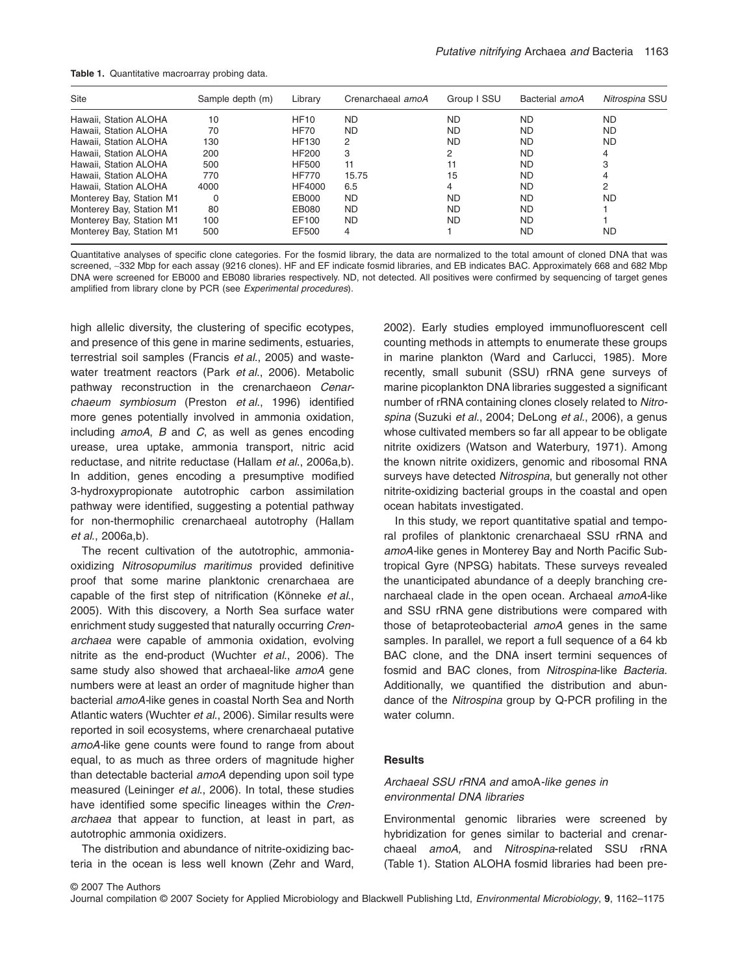**Table 1.** Quantitative macroarray probing data.

| <b>Site</b>              | Sample depth (m) | Library      | Crenarchaeal amoA | Group I SSU | Bacterial amoA | Nitrospina SSU |
|--------------------------|------------------|--------------|-------------------|-------------|----------------|----------------|
| Hawaii. Station ALOHA    | 10               | <b>HF10</b>  | <b>ND</b>         | <b>ND</b>   | <b>ND</b>      | <b>ND</b>      |
| Hawaii. Station ALOHA    | 70               | <b>HF70</b>  | ND.               | ND.         | ND.            | <b>ND</b>      |
| Hawaii. Station ALOHA    | 130              | <b>HF130</b> | 2                 | <b>ND</b>   | ND.            | <b>ND</b>      |
| Hawaii. Station ALOHA    | 200              | <b>HF200</b> | 3                 | 2           | <b>ND</b>      | 4              |
| Hawaii. Station ALOHA    | 500              | <b>HF500</b> | 11                | 11          | ND.            | 3              |
| Hawaii, Station ALOHA    | 770              | <b>HF770</b> | 15.75             | 15          | <b>ND</b>      | 4              |
| Hawaii. Station ALOHA    | 4000             | HF4000       | 6.5               | 4           | <b>ND</b>      | 2              |
| Monterey Bay, Station M1 | 0                | EB000        | ND.               | <b>ND</b>   | ND.            | ND             |
| Monterey Bay, Station M1 | 80               | EB080        | <b>ND</b>         | <b>ND</b>   | <b>ND</b>      |                |
| Monterey Bay, Station M1 | 100              | EF100        | ND.               | <b>ND</b>   | ND.            |                |
| Monterey Bay, Station M1 | 500              | EF500        | 4                 |             | ND             | ND             |

Quantitative analyses of specific clone categories. For the fosmid library, the data are normalized to the total amount of cloned DNA that was screened, ~332 Mbp for each assay (9216 clones). HF and EF indicate fosmid libraries, and EB indicates BAC. Approximately 668 and 682 Mbp DNA were screened for EB000 and EB080 libraries respectively. ND, not detected. All positives were confirmed by sequencing of target genes amplified from library clone by PCR (see *Experimental procedures*).

high allelic diversity, the clustering of specific ecotypes, and presence of this gene in marine sediments, estuaries, terrestrial soil samples (Francis *et al*., 2005) and wastewater treatment reactors (Park *et al*., 2006). Metabolic pathway reconstruction in the crenarchaeon *Cenarchaeum symbiosum* (Preston *et al*., 1996) identified more genes potentially involved in ammonia oxidation, including *amoA*, *B* and *C*, as well as genes encoding urease, urea uptake, ammonia transport, nitric acid reductase, and nitrite reductase (Hallam *et al*., 2006a,b). In addition, genes encoding a presumptive modified 3-hydroxypropionate autotrophic carbon assimilation pathway were identified, suggesting a potential pathway for non-thermophilic crenarchaeal autotrophy (Hallam *et al*., 2006a,b).

The recent cultivation of the autotrophic, ammoniaoxidizing *Nitrosopumilus maritimus* provided definitive proof that some marine planktonic crenarchaea are capable of the first step of nitrification (Könneke *et al*., 2005). With this discovery, a North Sea surface water enrichment study suggested that naturally occurring *Crenarchaea* were capable of ammonia oxidation, evolving nitrite as the end-product (Wuchter *et al*., 2006). The same study also showed that archaeal-like *amoA* gene numbers were at least an order of magnitude higher than bacterial *amoA-*like genes in coastal North Sea and North Atlantic waters (Wuchter *et al*., 2006). Similar results were reported in soil ecosystems, where crenarchaeal putative *amoA-*like gene counts were found to range from about equal, to as much as three orders of magnitude higher than detectable bacterial *amoA* depending upon soil type measured (Leininger *et al*., 2006). In total, these studies have identified some specific lineages within the *Crenarchaea* that appear to function, at least in part, as autotrophic ammonia oxidizers.

The distribution and abundance of nitrite-oxidizing bacteria in the ocean is less well known (Zehr and Ward, 2002). Early studies employed immunofluorescent cell counting methods in attempts to enumerate these groups in marine plankton (Ward and Carlucci, 1985). More recently, small subunit (SSU) rRNA gene surveys of marine picoplankton DNA libraries suggested a significant number of rRNA containing clones closely related to *Nitrospina* (Suzuki *et al*., 2004; DeLong *et al*., 2006), a genus whose cultivated members so far all appear to be obligate nitrite oxidizers (Watson and Waterbury, 1971). Among the known nitrite oxidizers, genomic and ribosomal RNA surveys have detected *Nitrospina*, but generally not other nitrite-oxidizing bacterial groups in the coastal and open ocean habitats investigated.

In this study, we report quantitative spatial and temporal profiles of planktonic crenarchaeal SSU rRNA and *amoA-*like genes in Monterey Bay and North Pacific Subtropical Gyre (NPSG) habitats. These surveys revealed the unanticipated abundance of a deeply branching crenarchaeal clade in the open ocean. Archaeal *amoA-*like and SSU rRNA gene distributions were compared with those of betaproteobacterial *amoA* genes in the same samples. In parallel, we report a full sequence of a 64 kb BAC clone, and the DNA insert termini sequences of fosmid and BAC clones, from *Nitrospina*-like *Bacteria.* Additionally, we quantified the distribution and abundance of the *Nitrospina* group by Q-PCR profiling in the water column.

## **Results**

# *Archaeal SSU rRNA and* amoA*-like genes in environmental DNA libraries*

Environmental genomic libraries were screened by hybridization for genes similar to bacterial and crenarchaeal *amoA*, and *Nitrospina*-related SSU rRNA (Table 1). Station ALOHA fosmid libraries had been pre-

Journal compilation © 2007 Society for Applied Microbiology and Blackwell Publishing Ltd, *Environmental Microbiology*, **9**, 1162–1175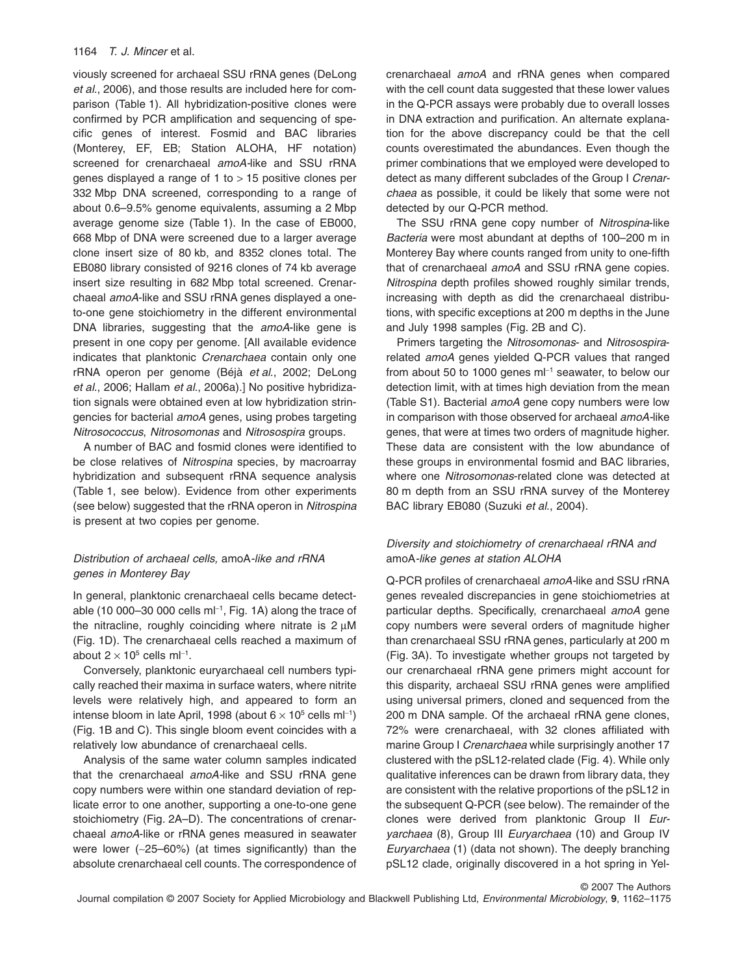viously screened for archaeal SSU rRNA genes (DeLong *et al*., 2006), and those results are included here for comparison (Table 1). All hybridization-positive clones were confirmed by PCR amplification and sequencing of specific genes of interest. Fosmid and BAC libraries (Monterey, EF, EB; Station ALOHA, HF notation) screened for crenarchaeal *amoA-*like and SSU rRNA genes displayed a range of 1 to  $> 15$  positive clones per 332 Mbp DNA screened, corresponding to a range of about 0.6–9.5% genome equivalents, assuming a 2 Mbp average genome size (Table 1). In the case of EB000, 668 Mbp of DNA were screened due to a larger average clone insert size of 80 kb, and 8352 clones total. The EB080 library consisted of 9216 clones of 74 kb average insert size resulting in 682 Mbp total screened. Crenarchaeal *amoA*-like and SSU rRNA genes displayed a oneto-one gene stoichiometry in the different environmental DNA libraries, suggesting that the *amoA*-like gene is present in one copy per genome. [All available evidence indicates that planktonic *Crenarchaea* contain only one rRNA operon per genome (Béjà *et al*., 2002; DeLong *et al*., 2006; Hallam *et al*., 2006a).] No positive hybridization signals were obtained even at low hybridization stringencies for bacterial *amoA* genes, using probes targeting *Nitrosococcus*, *Nitrosomonas* and *Nitrosospira* groups.

A number of BAC and fosmid clones were identified to be close relatives of *Nitrospina* species, by macroarray hybridization and subsequent rRNA sequence analysis (Table 1, see below). Evidence from other experiments (see below) suggested that the rRNA operon in *Nitrospina* is present at two copies per genome.

# *Distribution of archaeal cells,* amoA*-like and rRNA genes in Monterey Bay*

In general, planktonic crenarchaeal cells became detectable (10 000–30 000 cells ml $^{-1}$ , Fig. 1A) along the trace of the nitracline, roughly coinciding where nitrate is  $2 \mu M$ (Fig. 1D). The crenarchaeal cells reached a maximum of about 2  $\times$  10<sup>5</sup> cells ml<sup>-1</sup>.

Conversely, planktonic euryarchaeal cell numbers typically reached their maxima in surface waters, where nitrite levels were relatively high, and appeared to form an intense bloom in late April, 1998 (about 6  $\times$  10<sup>5</sup> cells ml<sup>-1</sup>) (Fig. 1B and C). This single bloom event coincides with a relatively low abundance of crenarchaeal cells.

Analysis of the same water column samples indicated that the crenarchaeal *amoA-*like and SSU rRNA gene copy numbers were within one standard deviation of replicate error to one another, supporting a one-to-one gene stoichiometry (Fig. 2A–D). The concentrations of crenarchaeal *amoA*-like or rRNA genes measured in seawater were lower (~25–60%) (at times significantly) than the absolute crenarchaeal cell counts. The correspondence of crenarchaeal *amoA* and rRNA genes when compared with the cell count data suggested that these lower values in the Q-PCR assays were probably due to overall losses in DNA extraction and purification. An alternate explanation for the above discrepancy could be that the cell counts overestimated the abundances. Even though the primer combinations that we employed were developed to detect as many different subclades of the Group I *Crenarchaea* as possible, it could be likely that some were not detected by our Q-PCR method.

The SSU rRNA gene copy number of *Nitrospina*-like *Bacteria* were most abundant at depths of 100–200 m in Monterey Bay where counts ranged from unity to one-fifth that of crenarchaeal *amoA* and SSU rRNA gene copies. *Nitrospina* depth profiles showed roughly similar trends, increasing with depth as did the crenarchaeal distributions, with specific exceptions at 200 m depths in the June and July 1998 samples (Fig. 2B and C).

Primers targeting the *Nitrosomonas*- and *Nitrosospira*related *amoA* genes yielded Q-PCR values that ranged from about 50 to 1000 genes  $ml^{-1}$  seawater, to below our detection limit, with at times high deviation from the mean (Table S1). Bacterial *amoA* gene copy numbers were low in comparison with those observed for archaeal *amoA-*like genes, that were at times two orders of magnitude higher. These data are consistent with the low abundance of these groups in environmental fosmid and BAC libraries, where one *Nitrosomonas*-related clone was detected at 80 m depth from an SSU rRNA survey of the Monterey BAC library EB080 (Suzuki *et al*., 2004).

# *Diversity and stoichiometry of crenarchaeal rRNA and* amoA*-like genes at station ALOHA*

Q-PCR profiles of crenarchaeal *amoA-*like and SSU rRNA genes revealed discrepancies in gene stoichiometries at particular depths. Specifically, crenarchaeal *amoA* gene copy numbers were several orders of magnitude higher than crenarchaeal SSU rRNA genes, particularly at 200 m (Fig. 3A). To investigate whether groups not targeted by our crenarchaeal rRNA gene primers might account for this disparity, archaeal SSU rRNA genes were amplified using universal primers, cloned and sequenced from the 200 m DNA sample. Of the archaeal rRNA gene clones, 72% were crenarchaeal, with 32 clones affiliated with marine Group I *Crenarchaea* while surprisingly another 17 clustered with the pSL12-related clade (Fig. 4). While only qualitative inferences can be drawn from library data, they are consistent with the relative proportions of the pSL12 in the subsequent Q-PCR (see below). The remainder of the clones were derived from planktonic Group II *Euryarchaea* (8), Group III *Euryarchaea* (10) and Group IV *Euryarchaea* (1) (data not shown). The deeply branching pSL12 clade, originally discovered in a hot spring in Yel-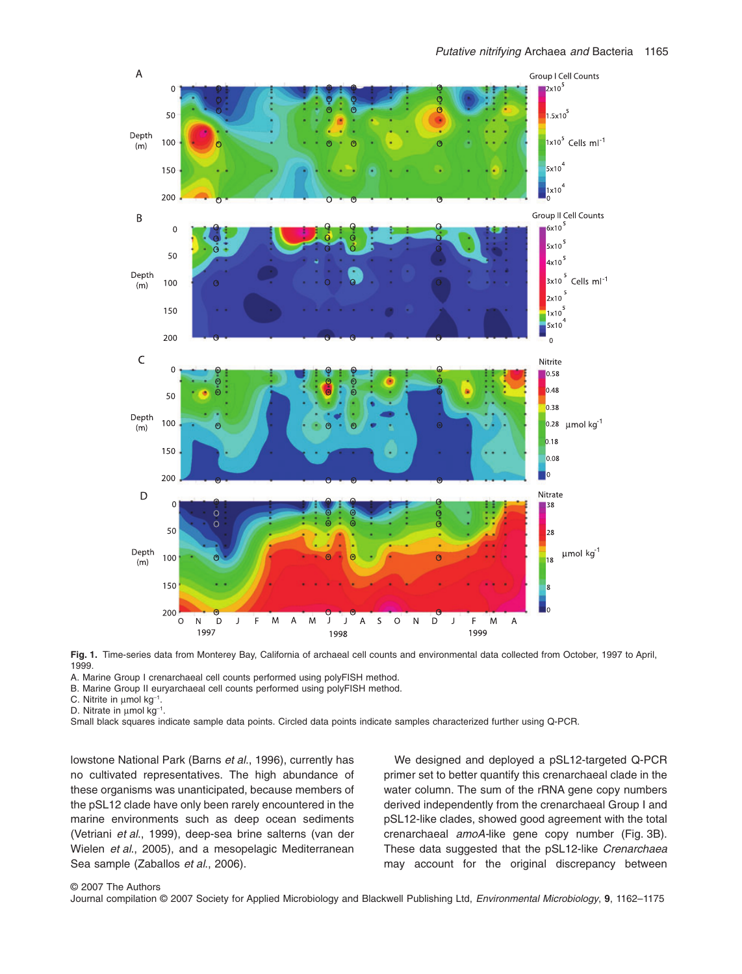

**Fig. 1.** Time-series data from Monterey Bay, California of archaeal cell counts and environmental data collected from October, 1997 to April, 1999.

A. Marine Group I crenarchaeal cell counts performed using polyFISH method.

B. Marine Group II euryarchaeal cell counts performed using polyFISH method.

C. Nitrite in  $\mu$ mol kg<sup>-1</sup>.

D. Nitrate in  $\mu$ mol kg<sup>-1</sup>.

Small black squares indicate sample data points. Circled data points indicate samples characterized further using Q-PCR.

lowstone National Park (Barns *et al*., 1996), currently has no cultivated representatives. The high abundance of these organisms was unanticipated, because members of the pSL12 clade have only been rarely encountered in the marine environments such as deep ocean sediments (Vetriani *et al*., 1999), deep-sea brine salterns (van der Wielen *et al*., 2005), and a mesopelagic Mediterranean Sea sample (Zaballos *et al*., 2006).

We designed and deployed a pSL12-targeted Q-PCR primer set to better quantify this crenarchaeal clade in the water column. The sum of the rRNA gene copy numbers derived independently from the crenarchaeal Group I and pSL12-like clades, showed good agreement with the total crenarchaeal *amoA-*like gene copy number (Fig. 3B). These data suggested that the pSL12-like *Crenarchaea* may account for the original discrepancy between

#### © 2007 The Authors

Journal compilation © 2007 Society for Applied Microbiology and Blackwell Publishing Ltd, *Environmental Microbiology*, **9**, 1162–1175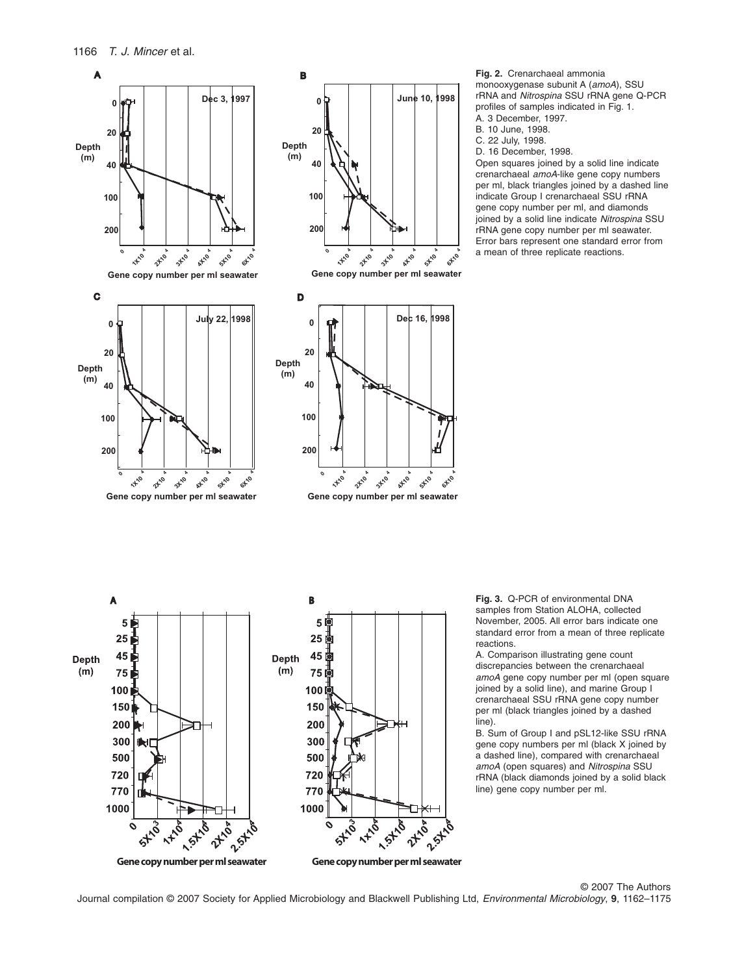





**Gene copy number per ml seawater Gene copy number per ml seawater**



B. 10 June, 1998.

C. 22 July, 1998.

D. 16 December, 1998.

Open squares joined by a solid line indicate crenarchaeal *amoA*-like gene copy numbers per ml, black triangles joined by a dashed line indicate Group I crenarchaeal SSU rRNA gene copy number per ml, and diamonds joined by a solid line indicate *Nitrospina* SSU rRNA gene copy number per ml seawater. Error bars represent one standard error from a mean of three replicate reactions.



**Fig. 3.** Q-PCR of environmental DNA samples from Station ALOHA, collected November, 2005. All error bars indicate one standard error from a mean of three replicate reactions.

A. Comparison illustrating gene count discrepancies between the crenarchaeal *amoA* gene copy number per ml (open square joined by a solid line), and marine Group I crenarchaeal SSU rRNA gene copy number per ml (black triangles joined by a dashed line).

B. Sum of Group I and pSL12-like SSU rRNA gene copy numbers per ml (black X joined by a dashed line), compared with crenarchaeal *amoA* (open squares) and *Nitrospina* SSU rRNA (black diamonds joined by a solid black line) gene copy number per ml.

© 2007 The Authors Journal compilation © 2007 Society for Applied Microbiology and Blackwell Publishing Ltd, *Environmental Microbiology*, **9**, 1162–1175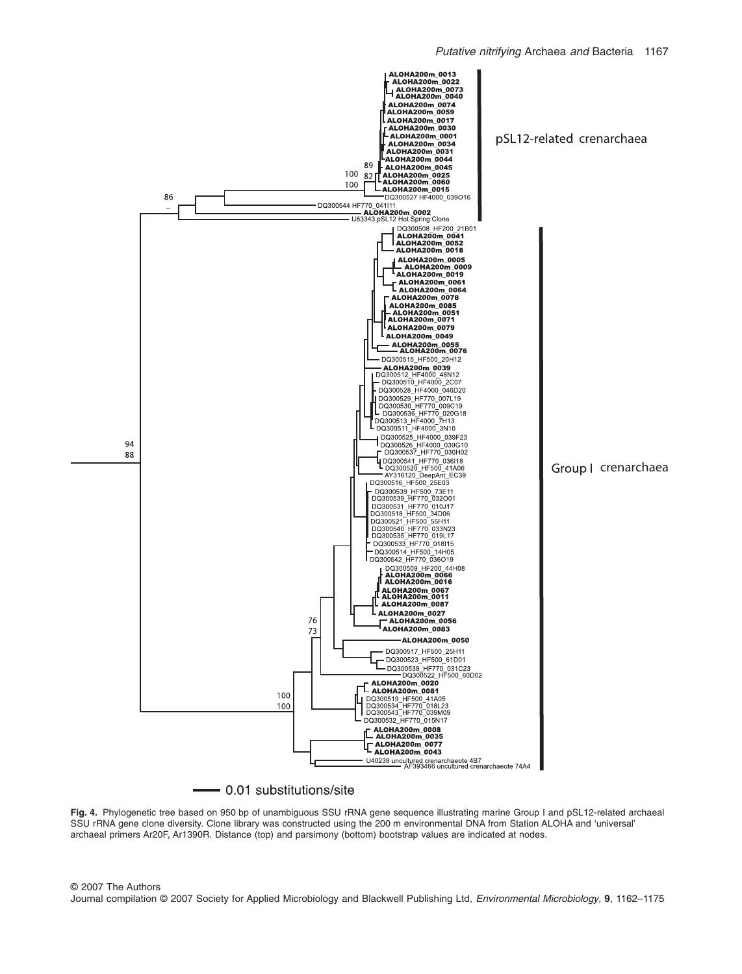

## - 0.01 substitutions/site

**Fig. 4.** Phylogenetic tree based on 950 bp of unambiguous SSU rRNA gene sequence illustrating marine Group I and pSL12-related archaeal SSU rRNA gene clone diversity. Clone library was constructed using the 200 m environmental DNA from Station ALOHA and 'universal' archaeal primers Ar20F, Ar1390R. Distance (top) and parsimony (bottom) bootstrap values are indicated at nodes.

© 2007 The Authors Journal compilation © 2007 Society for Applied Microbiology and Blackwell Publishing Ltd, *Environmental Microbiology*, **9**, 1162–1175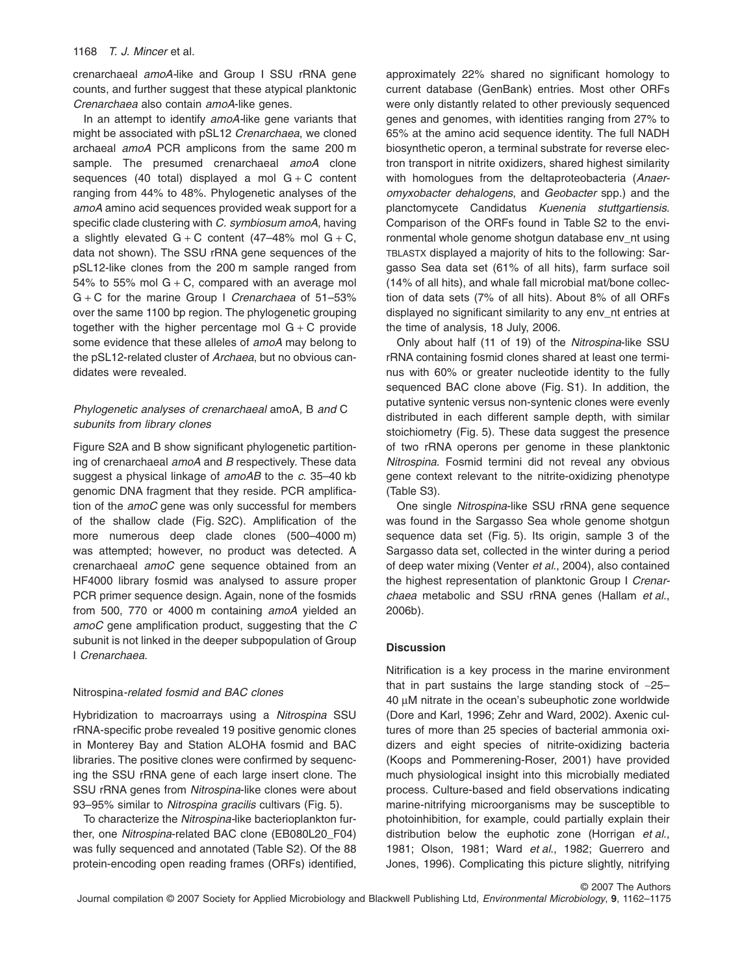crenarchaeal *amoA-*like and Group I SSU rRNA gene counts, and further suggest that these atypical planktonic *Crenarchaea* also contain *amoA*-like genes.

In an attempt to identify *amoA-*like gene variants that might be associated with pSL12 *Crenarchaea*, we cloned archaeal *amoA* PCR amplicons from the same 200 m sample. The presumed crenarchaeal *amoA* clone sequences (40 total) displayed a mol  $G + C$  content ranging from 44% to 48%. Phylogenetic analyses of the *amoA* amino acid sequences provided weak support for a specific clade clustering with *C. symbiosum amoA*, having a slightly elevated  $G + C$  content (47–48% mol  $G + C$ , data not shown). The SSU rRNA gene sequences of the pSL12-like clones from the 200 m sample ranged from 54% to 55% mol  $G + C$ , compared with an average mol G + C for the marine Group I *Crenarchaea* of 51–53% over the same 1100 bp region. The phylogenetic grouping together with the higher percentage mol  $G + C$  provide some evidence that these alleles of *amoA* may belong to the pSL12-related cluster of *Archaea*, but no obvious candidates were revealed.

# *Phylogenetic analyses of crenarchaeal* amoA*,* B *and* C *subunits from library clones*

Figure S2A and B show significant phylogenetic partitioning of crenarchaeal *amoA* and *B* respectively. These data suggest a physical linkage of *amoAB* to the *c*. 35–40 kb genomic DNA fragment that they reside. PCR amplification of the *amoC* gene was only successful for members of the shallow clade (Fig. S2C). Amplification of the more numerous deep clade clones (500–4000 m) was attempted; however, no product was detected. A crenarchaeal *amoC* gene sequence obtained from an HF4000 library fosmid was analysed to assure proper PCR primer sequence design. Again, none of the fosmids from 500, 770 or 4000 m containing *amoA* yielded an *amoC* gene amplification product, suggesting that the *C* subunit is not linked in the deeper subpopulation of Group I *Crenarchaea*.

## Nitrospina*-related fosmid and BAC clones*

Hybridization to macroarrays using a *Nitrospina* SSU rRNA-specific probe revealed 19 positive genomic clones in Monterey Bay and Station ALOHA fosmid and BAC libraries. The positive clones were confirmed by sequencing the SSU rRNA gene of each large insert clone. The SSU rRNA genes from *Nitrospina*-like clones were about 93–95% similar to *Nitrospina gracilis* cultivars (Fig. 5).

To characterize the *Nitrospina-*like bacterioplankton further, one *Nitrospina*-related BAC clone (EB080L20\_F04) was fully sequenced and annotated (Table S2). Of the 88 protein-encoding open reading frames (ORFs) identified,

approximately 22% shared no significant homology to current database (GenBank) entries. Most other ORFs were only distantly related to other previously sequenced genes and genomes, with identities ranging from 27% to 65% at the amino acid sequence identity. The full NADH biosynthetic operon, a terminal substrate for reverse electron transport in nitrite oxidizers, shared highest similarity with homologues from the deltaproteobacteria (*Anaeromyxobacter dehalogens*, and *Geobacter* spp.) and the planctomycete Candidatus *Kuenenia stuttgartiensis*. Comparison of the ORFs found in Table S2 to the environmental whole genome shotgun database env\_nt using TBLASTX displayed a majority of hits to the following: Sargasso Sea data set (61% of all hits), farm surface soil (14% of all hits), and whale fall microbial mat/bone collection of data sets (7% of all hits). About 8% of all ORFs displayed no significant similarity to any env\_nt entries at the time of analysis, 18 July, 2006.

Only about half (11 of 19) of the *Nitrospina*-like SSU rRNA containing fosmid clones shared at least one terminus with 60% or greater nucleotide identity to the fully sequenced BAC clone above (Fig. S1). In addition, the putative syntenic versus non-syntenic clones were evenly distributed in each different sample depth, with similar stoichiometry (Fig. 5). These data suggest the presence of two rRNA operons per genome in these planktonic *Nitrospina*. Fosmid termini did not reveal any obvious gene context relevant to the nitrite-oxidizing phenotype (Table S3).

One single *Nitrospina*-like SSU rRNA gene sequence was found in the Sargasso Sea whole genome shotgun sequence data set (Fig. 5). Its origin, sample 3 of the Sargasso data set, collected in the winter during a period of deep water mixing (Venter *et al*., 2004), also contained the highest representation of planktonic Group I *Crenarchaea* metabolic and SSU rRNA genes (Hallam *et al*., 2006b).

#### **Discussion**

Nitrification is a key process in the marine environment that in part sustains the large standing stock of  $-25-$ 40 mM nitrate in the ocean's subeuphotic zone worldwide (Dore and Karl, 1996; Zehr and Ward, 2002). Axenic cultures of more than 25 species of bacterial ammonia oxidizers and eight species of nitrite-oxidizing bacteria (Koops and Pommerening-Roser, 2001) have provided much physiological insight into this microbially mediated process. Culture-based and field observations indicating marine-nitrifying microorganisms may be susceptible to photoinhibition, for example, could partially explain their distribution below the euphotic zone (Horrigan *et al*., 1981; Olson, 1981; Ward *et al*., 1982; Guerrero and Jones, 1996). Complicating this picture slightly, nitrifying

© 2007 The Authors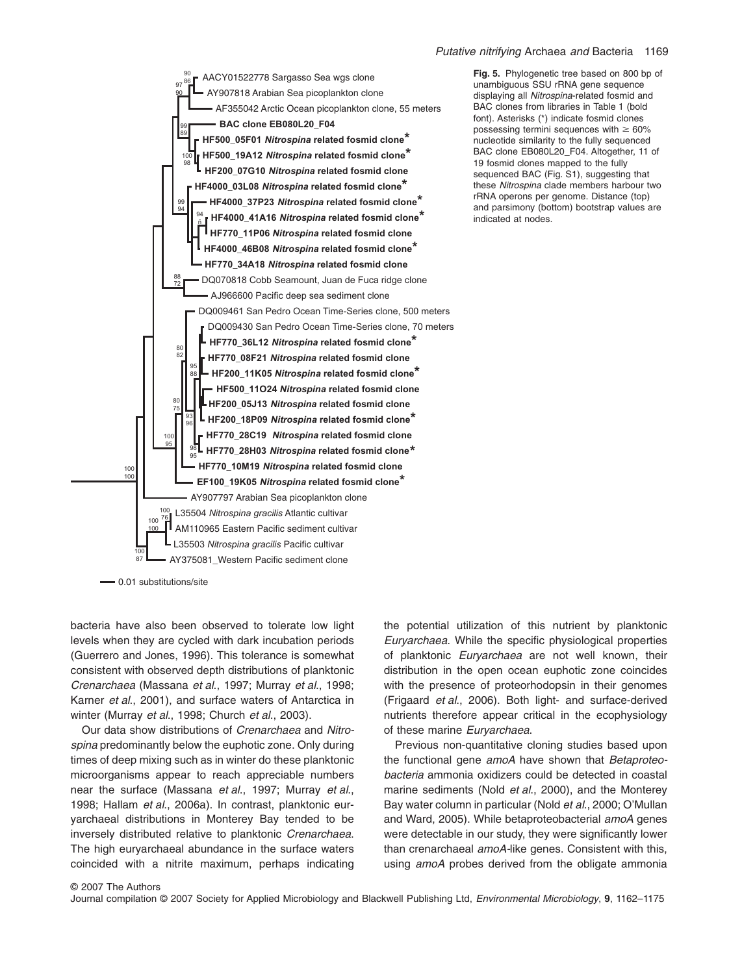#### *Putative nitrifying* Archaea *and* Bacteria 1169



0.01 substitutions/site

bacteria have also been observed to tolerate low light levels when they are cycled with dark incubation periods (Guerrero and Jones, 1996). This tolerance is somewhat consistent with observed depth distributions of planktonic *Crenarchaea* (Massana *et al*., 1997; Murray *et al*., 1998; Karner *et al*., 2001), and surface waters of Antarctica in winter (Murray *et al*., 1998; Church *et al*., 2003).

Our data show distributions of *Crenarchaea* and *Nitrospina* predominantly below the euphotic zone. Only during times of deep mixing such as in winter do these planktonic microorganisms appear to reach appreciable numbers near the surface (Massana *et al*., 1997; Murray *et al*., 1998; Hallam *et al*., 2006a). In contrast, planktonic euryarchaeal distributions in Monterey Bay tended to be inversely distributed relative to planktonic *Crenarchaea*. The high euryarchaeal abundance in the surface waters coincided with a nitrite maximum, perhaps indicating

the potential utilization of this nutrient by planktonic *Euryarchaea*. While the specific physiological properties of planktonic *Euryarchaea* are not well known, their distribution in the open ocean euphotic zone coincides with the presence of proteorhodopsin in their genomes (Frigaard *et al*., 2006). Both light- and surface-derived nutrients therefore appear critical in the ecophysiology of these marine *Euryarchaea*.

Previous non-quantitative cloning studies based upon the functional gene *amoA* have shown that *Betaproteobacteria* ammonia oxidizers could be detected in coastal marine sediments (Nold *et al*., 2000), and the Monterey Bay water column in particular (Nold *et al*., 2000; O'Mullan and Ward, 2005). While betaproteobacterial *amoA* genes were detectable in our study, they were significantly lower than crenarchaeal *amoA-*like genes. Consistent with this, using *amoA* probes derived from the obligate ammonia

**Fig. 5.** Phylogenetic tree based on 800 bp of unambiguous SSU rRNA gene sequence displaying all *Nitrospina*-related fosmid and BAC clones from libraries in Table 1 (bold font). Asterisks (\*) indicate fosmid clones possessing termini sequences with  $\geq 60\%$ nucleotide similarity to the fully sequenced BAC clone EB080L20\_F04. Altogether, 11 of 19 fosmid clones mapped to the fully sequenced BAC (Fig. S1), suggesting that these *Nitrospina* clade members harbour two rRNA operons per genome. Distance (top) and parsimony (bottom) bootstrap values are indicated at nodes.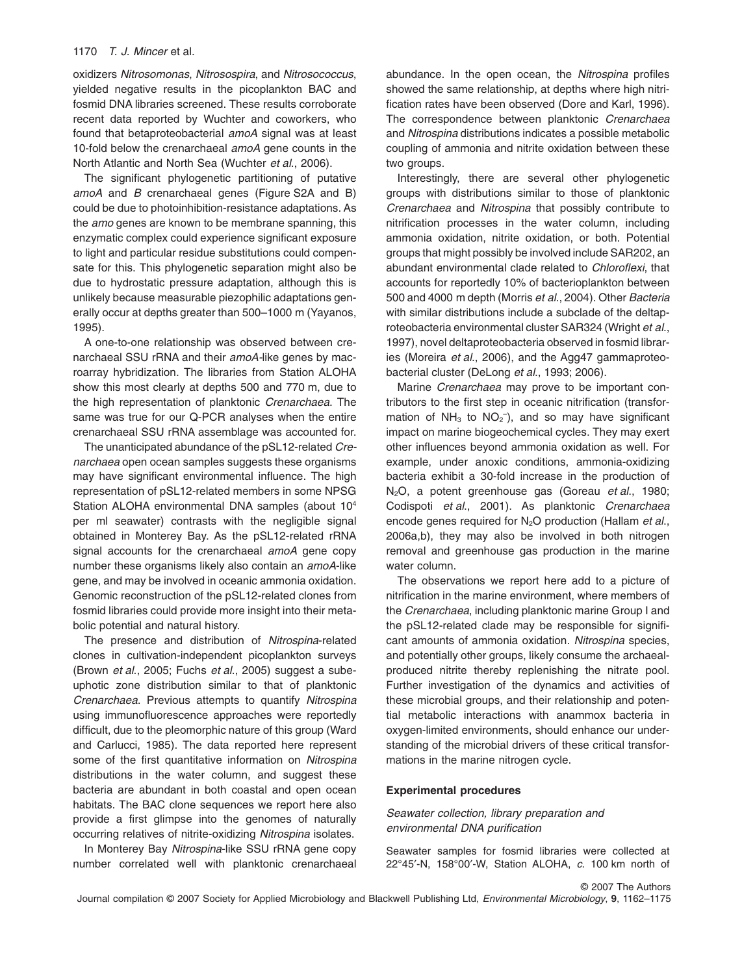oxidizers *Nitrosomonas*, *Nitrosospira*, and *Nitrosococcus*, yielded negative results in the picoplankton BAC and fosmid DNA libraries screened. These results corroborate recent data reported by Wuchter and coworkers, who found that betaproteobacterial *amoA* signal was at least 10-fold below the crenarchaeal *amoA* gene counts in the North Atlantic and North Sea (Wuchter *et al*., 2006).

The significant phylogenetic partitioning of putative *amoA* and *B* crenarchaeal genes (Figure S2A and B) could be due to photoinhibition-resistance adaptations. As the *amo* genes are known to be membrane spanning, this enzymatic complex could experience significant exposure to light and particular residue substitutions could compensate for this. This phylogenetic separation might also be due to hydrostatic pressure adaptation, although this is unlikely because measurable piezophilic adaptations generally occur at depths greater than 500–1000 m (Yayanos, 1995).

A one-to-one relationship was observed between crenarchaeal SSU rRNA and their *amoA-*like genes by macroarray hybridization. The libraries from Station ALOHA show this most clearly at depths 500 and 770 m, due to the high representation of planktonic *Crenarchaea*. The same was true for our Q-PCR analyses when the entire crenarchaeal SSU rRNA assemblage was accounted for.

The unanticipated abundance of the pSL12-related *Crenarchaea* open ocean samples suggests these organisms may have significant environmental influence. The high representation of pSL12-related members in some NPSG Station ALOHA environmental DNA samples (about 104 per ml seawater) contrasts with the negligible signal obtained in Monterey Bay. As the pSL12-related rRNA signal accounts for the crenarchaeal *amoA* gene copy number these organisms likely also contain an *amoA*-like gene, and may be involved in oceanic ammonia oxidation. Genomic reconstruction of the pSL12-related clones from fosmid libraries could provide more insight into their metabolic potential and natural history.

The presence and distribution of *Nitrospina*-related clones in cultivation-independent picoplankton surveys (Brown *et al*., 2005; Fuchs *et al*., 2005) suggest a subeuphotic zone distribution similar to that of planktonic *Crenarchaea*. Previous attempts to quantify *Nitrospina* using immunofluorescence approaches were reportedly difficult, due to the pleomorphic nature of this group (Ward and Carlucci, 1985). The data reported here represent some of the first quantitative information on *Nitrospina* distributions in the water column, and suggest these bacteria are abundant in both coastal and open ocean habitats. The BAC clone sequences we report here also provide a first glimpse into the genomes of naturally occurring relatives of nitrite-oxidizing *Nitrospina* isolates.

In Monterey Bay *Nitrospina*-like SSU rRNA gene copy number correlated well with planktonic crenarchaeal abundance. In the open ocean, the *Nitrospina* profiles showed the same relationship, at depths where high nitrification rates have been observed (Dore and Karl, 1996). The correspondence between planktonic *Crenarchaea* and *Nitrospina* distributions indicates a possible metabolic coupling of ammonia and nitrite oxidation between these two groups.

Interestingly, there are several other phylogenetic groups with distributions similar to those of planktonic *Crenarchaea* and *Nitrospina* that possibly contribute to nitrification processes in the water column, including ammonia oxidation, nitrite oxidation, or both. Potential groups that might possibly be involved include SAR202, an abundant environmental clade related to *Chloroflexi*, that accounts for reportedly 10% of bacterioplankton between 500 and 4000 m depth (Morris *et al*., 2004). Other *Bacteria* with similar distributions include a subclade of the deltaproteobacteria environmental cluster SAR324 (Wright *et al*., 1997), novel deltaproteobacteria observed in fosmid libraries (Moreira *et al*., 2006), and the Agg47 gammaproteobacterial cluster (DeLong *et al*., 1993; 2006).

Marine *Crenarchaea* may prove to be important contributors to the first step in oceanic nitrification (transformation of  $NH<sub>3</sub>$  to  $NO<sub>2</sub><sup>-</sup>)$ , and so may have significant impact on marine biogeochemical cycles. They may exert other influences beyond ammonia oxidation as well. For example, under anoxic conditions, ammonia-oxidizing bacteria exhibit a 30-fold increase in the production of N2O, a potent greenhouse gas (Goreau *et al*., 1980; Codispoti *et al*., 2001). As planktonic *Crenarchaea* encode genes required for N2O production (Hallam *et al*., 2006a,b), they may also be involved in both nitrogen removal and greenhouse gas production in the marine water column.

The observations we report here add to a picture of nitrification in the marine environment, where members of the *Crenarchaea*, including planktonic marine Group I and the pSL12-related clade may be responsible for significant amounts of ammonia oxidation. *Nitrospina* species, and potentially other groups, likely consume the archaealproduced nitrite thereby replenishing the nitrate pool. Further investigation of the dynamics and activities of these microbial groups, and their relationship and potential metabolic interactions with anammox bacteria in oxygen-limited environments, should enhance our understanding of the microbial drivers of these critical transformations in the marine nitrogen cycle.

#### **Experimental procedures**

*Seawater collection, library preparation and environmental DNA purification*

Seawater samples for fosmid libraries were collected at 22°45′-N, 158°00′-W, Station ALOHA, *c*. 100 km north of

© 2007 The Authors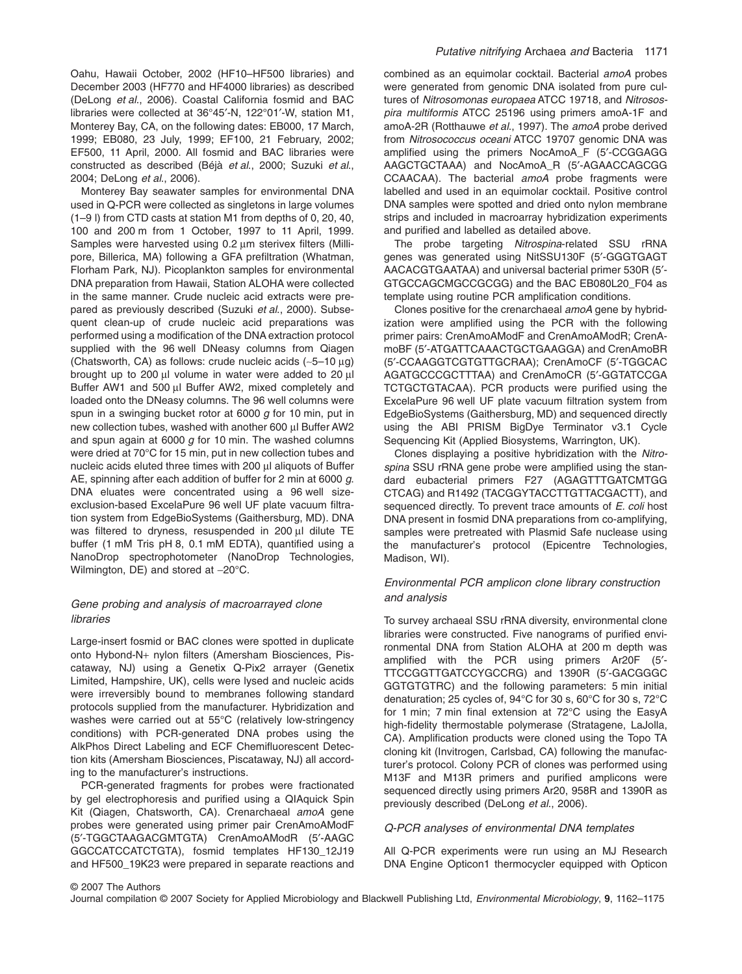Oahu, Hawaii October, 2002 (HF10–HF500 libraries) and December 2003 (HF770 and HF4000 libraries) as described (DeLong *et al*., 2006). Coastal California fosmid and BAC libraries were collected at 36°45′-N, 122°01′-W, station M1, Monterey Bay, CA, on the following dates: EB000, 17 March, 1999; EB080, 23 July, 1999; EF100, 21 February, 2002; EF500, 11 April, 2000. All fosmid and BAC libraries were constructed as described (Béjà *et al*., 2000; Suzuki *et al*., 2004; DeLong *et al*., 2006).

Monterey Bay seawater samples for environmental DNA used in Q-PCR were collected as singletons in large volumes (1–9 l) from CTD casts at station M1 from depths of 0, 20, 40, 100 and 200 m from 1 October, 1997 to 11 April, 1999. Samples were harvested using  $0.2 \mu m$  sterivex filters (Millipore, Billerica, MA) following a GFA prefiltration (Whatman, Florham Park, NJ). Picoplankton samples for environmental DNA preparation from Hawaii, Station ALOHA were collected in the same manner. Crude nucleic acid extracts were prepared as previously described (Suzuki *et al*., 2000). Subsequent clean-up of crude nucleic acid preparations was performed using a modification of the DNA extraction protocol supplied with the 96 well DNeasy columns from Qiagen (Chatsworth, CA) as follows: crude nucleic acids  $(-5-10 \mu g)$ brought up to 200  $\mu$ l volume in water were added to 20  $\mu$ l Buffer AW1 and 500 µl Buffer AW2, mixed completely and loaded onto the DNeasy columns. The 96 well columns were spun in a swinging bucket rotor at 6000 *g* for 10 min, put in new collection tubes, washed with another 600 µl Buffer AW2 and spun again at 6000 *g* for 10 min. The washed columns were dried at 70°C for 15 min, put in new collection tubes and nucleic acids eluted three times with 200 µl aliquots of Buffer AE, spinning after each addition of buffer for 2 min at 6000 *g*. DNA eluates were concentrated using a 96 well sizeexclusion-based ExcelaPure 96 well UF plate vacuum filtration system from EdgeBioSystems (Gaithersburg, MD). DNA was filtered to dryness, resuspended in  $200 \mu l$  dilute TE buffer (1 mM Tris pH 8, 0.1 mM EDTA), quantified using a NanoDrop spectrophotometer (NanoDrop Technologies, Wilmington, DE) and stored at -20°C.

# *Gene probing and analysis of macroarrayed clone libraries*

Large-insert fosmid or BAC clones were spotted in duplicate onto Hybond-N+ nylon filters (Amersham Biosciences, Piscataway, NJ) using a Genetix Q-Pix2 arrayer (Genetix Limited, Hampshire, UK), cells were lysed and nucleic acids were irreversibly bound to membranes following standard protocols supplied from the manufacturer. Hybridization and washes were carried out at 55°C (relatively low-stringency conditions) with PCR-generated DNA probes using the AlkPhos Direct Labeling and ECF Chemifluorescent Detection kits (Amersham Biosciences, Piscataway, NJ) all according to the manufacturer's instructions.

PCR-generated fragments for probes were fractionated by gel electrophoresis and purified using a QIAquick Spin Kit (Qiagen, Chatsworth, CA). Crenarchaeal *amoA* gene probes were generated using primer pair CrenAmoAModF (5′-TGGCTAAGACGMTGTA) CrenAmoAModR (5′-AAGC GGCCATCCATCTGTA), fosmid templates HF130\_12J19 and HF500\_19K23 were prepared in separate reactions and combined as an equimolar cocktail. Bacterial *amoA* probes were generated from genomic DNA isolated from pure cultures of *Nitrosomonas europaea* ATCC 19718, and *Nitrosospira multiformis* ATCC 25196 using primers amoA-1F and amoA-2R (Rotthauwe *et al*., 1997). The *amoA* probe derived from *Nitrosococcus oceani* ATCC 19707 genomic DNA was amplified using the primers NocAmoA\_F (5′-CCGGAGG AAGCTGCTAAA) and NocAmoA\_R (5′-AGAACCAGCGG CCAACAA). The bacterial *amoA* probe fragments were labelled and used in an equimolar cocktail. Positive control DNA samples were spotted and dried onto nylon membrane strips and included in macroarray hybridization experiments and purified and labelled as detailed above.

The probe targeting *Nitrospina*-related SSU rRNA genes was generated using NitSSU130F (5′-GGGTGAGT AACACGTGAATAA) and universal bacterial primer 530R (5′- GTGCCAGCMGCCGCGG) and the BAC EB080L20\_F04 as template using routine PCR amplification conditions.

Clones positive for the crenarchaeal *amoA* gene by hybridization were amplified using the PCR with the following primer pairs: CrenAmoAModF and CrenAmoAModR; CrenAmoBF (5′-ATGATTCAAACTGCTGAAGGA) and CrenAmoBR (5′-CCAAGGTCGTGTTGCRAA); CrenAmoCF (5′-TGGCAC AGATGCCCGCTTTAA) and CrenAmoCR (5′-GGTATCCGA TCTGCTGTACAA). PCR products were purified using the ExcelaPure 96 well UF plate vacuum filtration system from EdgeBioSystems (Gaithersburg, MD) and sequenced directly using the ABI PRISM BigDye Terminator v3.1 Cycle Sequencing Kit (Applied Biosystems, Warrington, UK).

Clones displaying a positive hybridization with the *Nitrospina* SSU rRNA gene probe were amplified using the standard eubacterial primers F27 (AGAGTTTGATCMTGG CTCAG) and R1492 (TACGGYTACCTTGTTACGACTT), and sequenced directly. To prevent trace amounts of *E. coli* host DNA present in fosmid DNA preparations from co-amplifying, samples were pretreated with Plasmid Safe nuclease using the manufacturer's protocol (Epicentre Technologies, Madison, WI).

## *Environmental PCR amplicon clone library construction and analysis*

To survey archaeal SSU rRNA diversity, environmental clone libraries were constructed. Five nanograms of purified environmental DNA from Station ALOHA at 200 m depth was amplified with the PCR using primers Ar20F (5′- TTCCGGTTGATCCYGCCRG) and 1390R (5′-GACGGGC GGTGTGTRC) and the following parameters: 5 min initial denaturation; 25 cycles of, 94°C for 30 s, 60°C for 30 s, 72°C for 1 min; 7 min final extension at 72°C using the EasyA high-fidelity thermostable polymerase (Stratagene, LaJolla, CA). Amplification products were cloned using the Topo TA cloning kit (Invitrogen, Carlsbad, CA) following the manufacturer's protocol. Colony PCR of clones was performed using M13F and M13R primers and purified amplicons were sequenced directly using primers Ar20, 958R and 1390R as previously described (DeLong *et al*., 2006).

#### *Q-PCR analyses of environmental DNA templates*

All Q-PCR experiments were run using an MJ Research DNA Engine Opticon1 thermocycler equipped with Opticon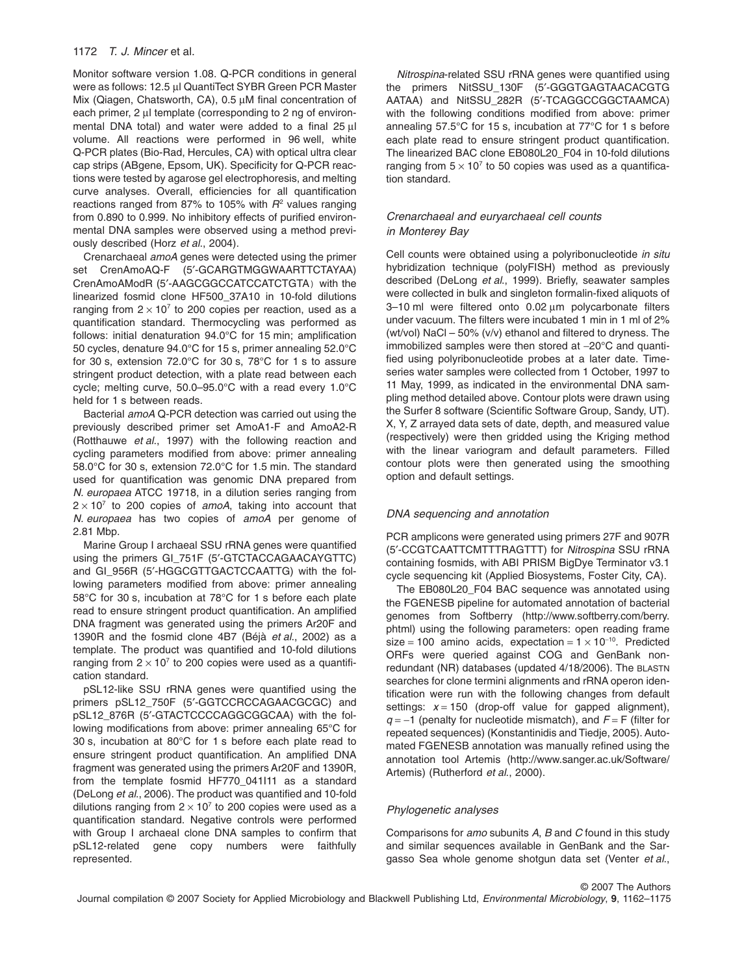Monitor software version 1.08. Q-PCR conditions in general were as follows: 12.5 µl QuantiTect SYBR Green PCR Master Mix (Qiagen, Chatsworth, CA),  $0.5 \mu$ M final concentration of each primer, 2 µl template (corresponding to 2 ng of environmental DNA total) and water were added to a final 25  $\mu$ l volume. All reactions were performed in 96 well, white Q-PCR plates (Bio-Rad, Hercules, CA) with optical ultra clear cap strips (ABgene, Epsom, UK). Specificity for Q-PCR reactions were tested by agarose gel electrophoresis, and melting curve analyses. Overall, efficiencies for all quantification reactions ranged from 87% to 105% with  $R^2$  values ranging from 0.890 to 0.999. No inhibitory effects of purified environmental DNA samples were observed using a method previously described (Horz *et al*., 2004).

Crenarchaeal *amoA* genes were detected using the primer set CrenAmoAQ-F (5′-GCARGTMGGWAARTTCTAYAA) CrenAmoAModR (5′-AAGCGGCCATCCATCTGTA) with the linearized fosmid clone HF500\_37A10 in 10-fold dilutions ranging from  $2 \times 10^7$  to 200 copies per reaction, used as a quantification standard. Thermocycling was performed as follows: initial denaturation 94.0°C for 15 min; amplification 50 cycles, denature 94.0°C for 15 s, primer annealing 52.0°C for 30 s, extension 72.0°C for 30 s, 78°C for 1 s to assure stringent product detection, with a plate read between each cycle; melting curve, 50.0–95.0°C with a read every 1.0°C held for 1 s between reads.

Bacterial *amoA* Q-PCR detection was carried out using the previously described primer set AmoA1-F and AmoA2-R (Rotthauwe *et al*., 1997) with the following reaction and cycling parameters modified from above: primer annealing 58.0°C for 30 s, extension 72.0°C for 1.5 min. The standard used for quantification was genomic DNA prepared from *N. europaea* ATCC 19718, in a dilution series ranging from  $2 \times 10^7$  to 200 copies of *amoA*, taking into account that *N. europaea* has two copies of *amoA* per genome of 2.81 Mbp.

Marine Group I archaeal SSU rRNA genes were quantified using the primers GI\_751F (5′-GTCTACCAGAACAYGTTC) and GI\_956R (5′-HGGCGTTGACTCCAATTG) with the following parameters modified from above: primer annealing 58°C for 30 s, incubation at 78°C for 1 s before each plate read to ensure stringent product quantification. An amplified DNA fragment was generated using the primers Ar20F and 1390R and the fosmid clone 4B7 (Béjà *et al*., 2002) as a template. The product was quantified and 10-fold dilutions ranging from  $2 \times 10^7$  to 200 copies were used as a quantification standard.

pSL12-like SSU rRNA genes were quantified using the primers pSL12\_750F (5′-GGTCCRCCAGAACGCGC) and pSL12\_876R (5′-GTACTCCCCAGGCGGCAA) with the following modifications from above: primer annealing 65°C for 30 s, incubation at 80°C for 1 s before each plate read to ensure stringent product quantification. An amplified DNA fragment was generated using the primers Ar20F and 1390R, from the template fosmid HF770\_041I11 as a standard (DeLong *et al*., 2006). The product was quantified and 10-fold dilutions ranging from  $2 \times 10^7$  to 200 copies were used as a quantification standard. Negative controls were performed with Group I archaeal clone DNA samples to confirm that pSL12-related gene copy numbers were faithfully represented.

*Nitrospina*-related SSU rRNA genes were quantified using the primers NitSSU\_130F (5′-GGGTGAGTAACACGTG AATAA) and NitSSU 282R (5'-TCAGGCCGGCTAAMCA) with the following conditions modified from above: primer annealing 57.5°C for 15 s, incubation at 77°C for 1 s before each plate read to ensure stringent product quantification. The linearized BAC clone EB080L20\_F04 in 10-fold dilutions ranging from  $5 \times 10^7$  to 50 copies was used as a quantification standard.

# *Crenarchaeal and euryarchaeal cell counts in Monterey Bay*

Cell counts were obtained using a polyribonucleotide *in situ* hybridization technique (polyFISH) method as previously described (DeLong *et al*., 1999). Briefly, seawater samples were collected in bulk and singleton formalin-fixed aliquots of  $3-10$  ml were filtered onto  $0.02 \mu m$  polycarbonate filters under vacuum. The filters were incubated 1 min in 1 ml of 2% (wt/vol) NaCl – 50% (v/v) ethanol and filtered to dryness. The immobilized samples were then stored at  $-20^{\circ}$ C and quantified using polyribonucleotide probes at a later date. Timeseries water samples were collected from 1 October, 1997 to 11 May, 1999, as indicated in the environmental DNA sampling method detailed above. Contour plots were drawn using the Surfer 8 software (Scientific Software Group, Sandy, UT). X, Y, Z arrayed data sets of date, depth, and measured value (respectively) were then gridded using the Kriging method with the linear variogram and default parameters. Filled contour plots were then generated using the smoothing option and default settings.

#### *DNA sequencing and annotation*

PCR amplicons were generated using primers 27F and 907R (5′-CCGTCAATTCMTTTRAGTTT) for *Nitrospina* SSU rRNA containing fosmids, with ABI PRISM BigDye Terminator v3.1 cycle sequencing kit (Applied Biosystems, Foster City, CA).

The EB080L20\_F04 BAC sequence was annotated using the FGENESB pipeline for automated annotation of bacterial genomes from Softberry ([http://www.softberry.com/berry.](http://www.softberry.com/berry.phtml) [phtml\)](http://www.softberry.com/berry.phtml) using the following parameters: open reading frame size = 100 amino acids, expectation =  $1 \times 10^{-10}$ . Predicted ORFs were queried against COG and GenBank nonredundant (NR) databases (updated 4/18/2006). The BLASTN searches for clone termini alignments and rRNA operon identification were run with the following changes from default settings:  $x = 150$  (drop-off value for gapped alignment),  $q = -1$  (penalty for nucleotide mismatch), and  $F = F$  (filter for repeated sequences) (Konstantinidis and Tiedje, 2005). Automated FGENESB annotation was manually refined using the annotation tool Artemis ([http://www.sanger.ac.uk/Software/](http://www.sanger.ac.uk/Software/Artemis) [Artemis\)](http://www.sanger.ac.uk/Software/Artemis) (Rutherford *et al*., 2000).

#### *Phylogenetic analyses*

Comparisons for *amo* subunits *A*, *B* and *C* found in this study and similar sequences available in GenBank and the Sargasso Sea whole genome shotgun data set (Venter *et al*.,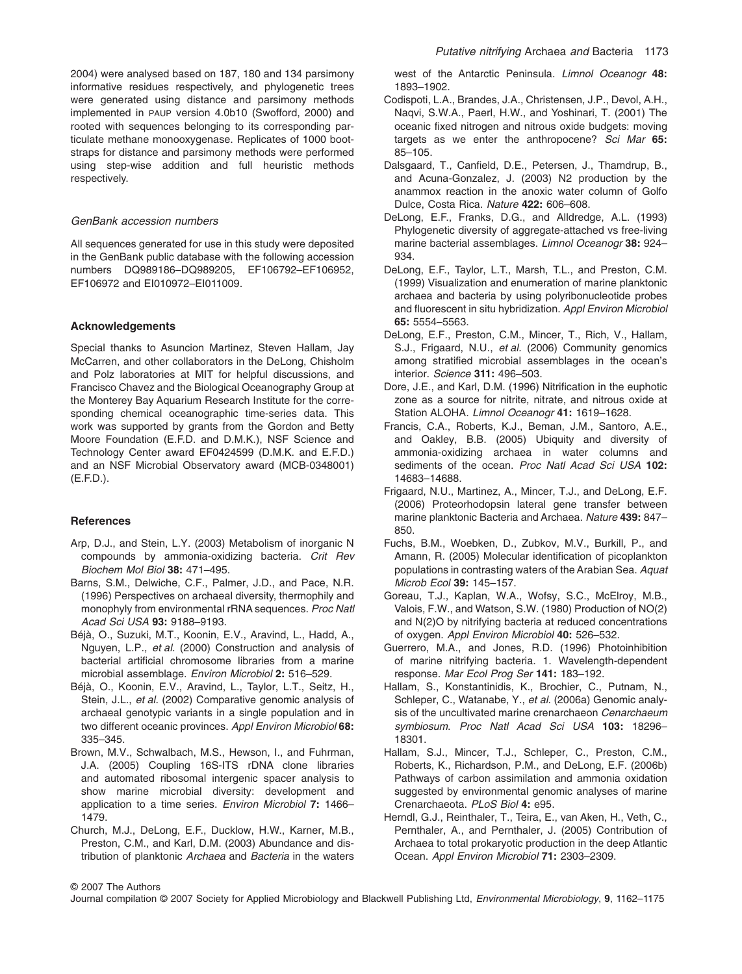2004) were analysed based on 187, 180 and 134 parsimony informative residues respectively, and phylogenetic trees were generated using distance and parsimony methods implemented in PAUP version 4.0b10 (Swofford, 2000) and rooted with sequences belonging to its corresponding particulate methane monooxygenase. Replicates of 1000 bootstraps for distance and parsimony methods were performed using step-wise addition and full heuristic methods respectively.

#### *GenBank accession numbers*

All sequences generated for use in this study were deposited in the GenBank public database with the following accession numbers DQ989186–DQ989205, EF106792–EF106952, EF106972 and EI010972–EI011009.

#### **Acknowledgements**

Special thanks to Asuncion Martinez, Steven Hallam, Jay McCarren, and other collaborators in the DeLong, Chisholm and Polz laboratories at MIT for helpful discussions, and Francisco Chavez and the Biological Oceanography Group at the Monterey Bay Aquarium Research Institute for the corresponding chemical oceanographic time-series data. This work was supported by grants from the Gordon and Betty Moore Foundation (E.F.D. and D.M.K.), NSF Science and Technology Center award EF0424599 (D.M.K. and E.F.D.) and an NSF Microbial Observatory award (MCB-0348001) (E.F.D.).

#### **References**

- Arp, D.J., and Stein, L.Y. (2003) Metabolism of inorganic N compounds by ammonia-oxidizing bacteria. *Crit Rev Biochem Mol Biol* **38:** 471–495.
- Barns, S.M., Delwiche, C.F., Palmer, J.D., and Pace, N.R. (1996) Perspectives on archaeal diversity, thermophily and monophyly from environmental rRNA sequences. *Proc Natl Acad Sci USA* **93:** 9188–9193.
- Béjà, O., Suzuki, M.T., Koonin, E.V., Aravind, L., Hadd, A., Nguyen, L.P., *et al.* (2000) Construction and analysis of bacterial artificial chromosome libraries from a marine microbial assemblage. *Environ Microbiol* **2:** 516–529.
- Béjà, O., Koonin, E.V., Aravind, L., Taylor, L.T., Seitz, H., Stein, J.L., *et al.* (2002) Comparative genomic analysis of archaeal genotypic variants in a single population and in two different oceanic provinces. *Appl Environ Microbiol* **68:** 335–345.
- Brown, M.V., Schwalbach, M.S., Hewson, I., and Fuhrman, J.A. (2005) Coupling 16S-ITS rDNA clone libraries and automated ribosomal intergenic spacer analysis to show marine microbial diversity: development and application to a time series. *Environ Microbiol* **7:** 1466– 1479.
- Church, M.J., DeLong, E.F., Ducklow, H.W., Karner, M.B., Preston, C.M., and Karl, D.M. (2003) Abundance and distribution of planktonic *Archaea* and *Bacteria* in the waters

west of the Antarctic Peninsula. *Limnol Oceanogr* **48:** 1893–1902.

- Codispoti, L.A., Brandes, J.A., Christensen, J.P., Devol, A.H., Naqvi, S.W.A., Paerl, H.W., and Yoshinari, T. (2001) The oceanic fixed nitrogen and nitrous oxide budgets: moving targets as we enter the anthropocene? *Sci Mar* **65:** 85–105.
- Dalsgaard, T., Canfield, D.E., Petersen, J., Thamdrup, B., and Acuna-Gonzalez, J. (2003) N2 production by the anammox reaction in the anoxic water column of Golfo Dulce, Costa Rica. *Nature* **422:** 606–608.
- DeLong, E.F., Franks, D.G., and Alldredge, A.L. (1993) Phylogenetic diversity of aggregate-attached vs free-living marine bacterial assemblages. *Limnol Oceanogr* **38:** 924– 934.
- DeLong, E.F., Taylor, L.T., Marsh, T.L., and Preston, C.M. (1999) Visualization and enumeration of marine planktonic archaea and bacteria by using polyribonucleotide probes and fluorescent in situ hybridization. *Appl Environ Microbiol* **65:** 5554–5563.
- DeLong, E.F., Preston, C.M., Mincer, T., Rich, V., Hallam, S.J., Frigaard, N.U., *et al.* (2006) Community genomics among stratified microbial assemblages in the ocean's interior. *Science* **311:** 496–503.
- Dore, J.E., and Karl, D.M. (1996) Nitrification in the euphotic zone as a source for nitrite, nitrate, and nitrous oxide at Station ALOHA. *Limnol Oceanogr* **41:** 1619–1628.
- Francis, C.A., Roberts, K.J., Beman, J.M., Santoro, A.E., and Oakley, B.B. (2005) Ubiquity and diversity of ammonia-oxidizing archaea in water columns and sediments of the ocean. *Proc Natl Acad Sci USA* **102:** 14683–14688.
- Frigaard, N.U., Martinez, A., Mincer, T.J., and DeLong, E.F. (2006) Proteorhodopsin lateral gene transfer between marine planktonic Bacteria and Archaea. *Nature* **439:** 847– 850.
- Fuchs, B.M., Woebken, D., Zubkov, M.V., Burkill, P., and Amann, R. (2005) Molecular identification of picoplankton populations in contrasting waters of the Arabian Sea. *Aquat Microb Ecol* **39:** 145–157.
- Goreau, T.J., Kaplan, W.A., Wofsy, S.C., McElroy, M.B., Valois, F.W., and Watson, S.W. (1980) Production of NO(2) and N(2)O by nitrifying bacteria at reduced concentrations of oxygen. *Appl Environ Microbiol* **40:** 526–532.
- Guerrero, M.A., and Jones, R.D. (1996) Photoinhibition of marine nitrifying bacteria. 1. Wavelength-dependent response. *Mar Ecol Prog Ser* **141:** 183–192.
- Hallam, S., Konstantinidis, K., Brochier, C., Putnam, N., Schleper, C., Watanabe, Y., *et al.* (2006a) Genomic analysis of the uncultivated marine crenarchaeon *Cenarchaeum symbiosum*. *Proc Natl Acad Sci USA* **103:** 18296– 18301.
- Hallam, S.J., Mincer, T.J., Schleper, C., Preston, C.M., Roberts, K., Richardson, P.M., and DeLong, E.F. (2006b) Pathways of carbon assimilation and ammonia oxidation suggested by environmental genomic analyses of marine Crenarchaeota. *PLoS Biol* **4:** e95.
- Herndl, G.J., Reinthaler, T., Teira, E., van Aken, H., Veth, C., Pernthaler, A., and Pernthaler, J. (2005) Contribution of Archaea to total prokaryotic production in the deep Atlantic Ocean. *Appl Environ Microbiol* **71:** 2303–2309.

© 2007 The Authors

Journal compilation © 2007 Society for Applied Microbiology and Blackwell Publishing Ltd, *Environmental Microbiology*, **9**, 1162–1175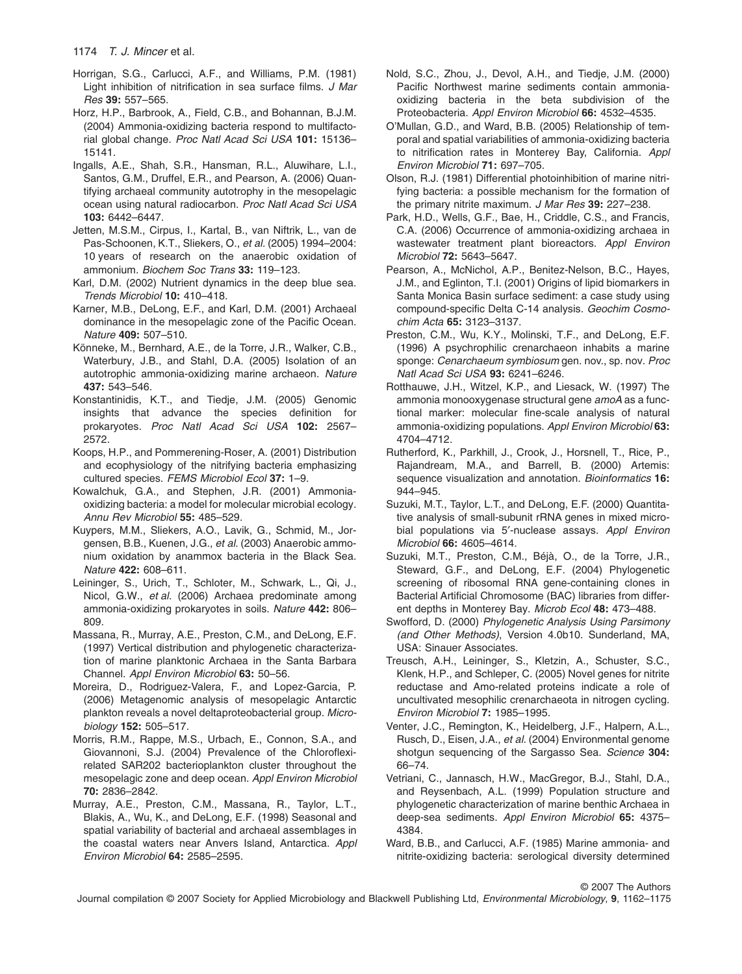- Horrigan, S.G., Carlucci, A.F., and Williams, P.M. (1981) Light inhibition of nitrification in sea surface films. *J Mar Res* **39:** 557–565.
- Horz, H.P., Barbrook, A., Field, C.B., and Bohannan, B.J.M. (2004) Ammonia-oxidizing bacteria respond to multifactorial global change. *Proc Natl Acad Sci USA* **101:** 15136– 15141.
- Ingalls, A.E., Shah, S.R., Hansman, R.L., Aluwihare, L.I., Santos, G.M., Druffel, E.R., and Pearson, A. (2006) Quantifying archaeal community autotrophy in the mesopelagic ocean using natural radiocarbon. *Proc Natl Acad Sci USA* **103:** 6442–6447.
- Jetten, M.S.M., Cirpus, I., Kartal, B., van Niftrik, L., van de Pas-Schoonen, K.T., Sliekers, O., *et al.* (2005) 1994–2004: 10 years of research on the anaerobic oxidation of ammonium. *Biochem Soc Trans* **33:** 119–123.
- Karl, D.M. (2002) Nutrient dynamics in the deep blue sea. *Trends Microbiol* **10:** 410–418.
- Karner, M.B., DeLong, E.F., and Karl, D.M. (2001) Archaeal dominance in the mesopelagic zone of the Pacific Ocean. *Nature* **409:** 507–510.
- Könneke, M., Bernhard, A.E., de la Torre, J.R., Walker, C.B., Waterbury, J.B., and Stahl, D.A. (2005) Isolation of an autotrophic ammonia-oxidizing marine archaeon. *Nature* **437:** 543–546.
- Konstantinidis, K.T., and Tiedje, J.M. (2005) Genomic insights that advance the species definition for prokaryotes. *Proc Natl Acad Sci USA* **102:** 2567– 2572.
- Koops, H.P., and Pommerening-Roser, A. (2001) Distribution and ecophysiology of the nitrifying bacteria emphasizing cultured species. *FEMS Microbiol Ecol* **37:** 1–9.
- Kowalchuk, G.A., and Stephen, J.R. (2001) Ammoniaoxidizing bacteria: a model for molecular microbial ecology. *Annu Rev Microbiol* **55:** 485–529.
- Kuypers, M.M., Sliekers, A.O., Lavik, G., Schmid, M., Jorgensen, B.B., Kuenen, J.G., *et al.* (2003) Anaerobic ammonium oxidation by anammox bacteria in the Black Sea. *Nature* **422:** 608–611.
- Leininger, S., Urich, T., Schloter, M., Schwark, L., Qi, J., Nicol, G.W., *et al.* (2006) Archaea predominate among ammonia-oxidizing prokaryotes in soils. *Nature* **442:** 806– 809.
- Massana, R., Murray, A.E., Preston, C.M., and DeLong, E.F. (1997) Vertical distribution and phylogenetic characterization of marine planktonic Archaea in the Santa Barbara Channel. *Appl Environ Microbiol* **63:** 50–56.
- Moreira, D., Rodriguez-Valera, F., and Lopez-Garcia, P. (2006) Metagenomic analysis of mesopelagic Antarctic plankton reveals a novel deltaproteobacterial group. *Microbiology* **152:** 505–517.
- Morris, R.M., Rappe, M.S., Urbach, E., Connon, S.A., and Giovannoni, S.J. (2004) Prevalence of the Chloroflexirelated SAR202 bacterioplankton cluster throughout the mesopelagic zone and deep ocean. *Appl Environ Microbiol* **70:** 2836–2842.
- Murray, A.E., Preston, C.M., Massana, R., Taylor, L.T., Blakis, A., Wu, K., and DeLong, E.F. (1998) Seasonal and spatial variability of bacterial and archaeal assemblages in the coastal waters near Anvers Island, Antarctica. *Appl Environ Microbiol* **64:** 2585–2595.
- Nold, S.C., Zhou, J., Devol, A.H., and Tiedje, J.M. (2000) Pacific Northwest marine sediments contain ammoniaoxidizing bacteria in the beta subdivision of the Proteobacteria. *Appl Environ Microbiol* **66:** 4532–4535.
- O'Mullan, G.D., and Ward, B.B. (2005) Relationship of temporal and spatial variabilities of ammonia-oxidizing bacteria to nitrification rates in Monterey Bay, California. *Appl Environ Microbiol* **71:** 697–705.
- Olson, R.J. (1981) Differential photoinhibition of marine nitrifying bacteria: a possible mechanism for the formation of the primary nitrite maximum. *J Mar Res* **39:** 227–238.
- Park, H.D., Wells, G.F., Bae, H., Criddle, C.S., and Francis, C.A. (2006) Occurrence of ammonia-oxidizing archaea in wastewater treatment plant bioreactors. *Appl Environ Microbiol* **72:** 5643–5647.
- Pearson, A., McNichol, A.P., Benitez-Nelson, B.C., Hayes, J.M., and Eglinton, T.I. (2001) Origins of lipid biomarkers in Santa Monica Basin surface sediment: a case study using compound-specific Delta C-14 analysis. *Geochim Cosmochim Acta* **65:** 3123–3137.
- Preston, C.M., Wu, K.Y., Molinski, T.F., and DeLong, E.F. (1996) A psychrophilic crenarchaeon inhabits a marine sponge: *Cenarchaeum symbiosum* gen. nov., sp. nov. *Proc Natl Acad Sci USA* **93:** 6241–6246.
- Rotthauwe, J.H., Witzel, K.P., and Liesack, W. (1997) The ammonia monooxygenase structural gene *amoA* as a functional marker: molecular fine-scale analysis of natural ammonia-oxidizing populations. *Appl Environ Microbiol* **63:** 4704–4712.
- Rutherford, K., Parkhill, J., Crook, J., Horsnell, T., Rice, P., Rajandream, M.A., and Barrell, B. (2000) Artemis: sequence visualization and annotation. *Bioinformatics* **16:** 944–945.
- Suzuki, M.T., Taylor, L.T., and DeLong, E.F. (2000) Quantitative analysis of small-subunit rRNA genes in mixed microbial populations via 5′-nuclease assays. *Appl Environ Microbiol* **66:** 4605–4614.
- Suzuki, M.T., Preston, C.M., Béjà, O., de la Torre, J.R., Steward, G.F., and DeLong, E.F. (2004) Phylogenetic screening of ribosomal RNA gene-containing clones in Bacterial Artificial Chromosome (BAC) libraries from different depths in Monterey Bay. *Microb Ecol* **48:** 473–488.
- Swofford, D. (2000) *Phylogenetic Analysis Using Parsimony (and Other Methods)*, Version 4.0b10. Sunderland, MA, USA: Sinauer Associates.
- Treusch, A.H., Leininger, S., Kletzin, A., Schuster, S.C., Klenk, H.P., and Schleper, C. (2005) Novel genes for nitrite reductase and Amo-related proteins indicate a role of uncultivated mesophilic crenarchaeota in nitrogen cycling. *Environ Microbiol* **7:** 1985–1995.
- Venter, J.C., Remington, K., Heidelberg, J.F., Halpern, A.L., Rusch, D., Eisen, J.A., *et al.* (2004) Environmental genome shotgun sequencing of the Sargasso Sea. *Science* **304:** 66–74.
- Vetriani, C., Jannasch, H.W., MacGregor, B.J., Stahl, D.A., and Reysenbach, A.L. (1999) Population structure and phylogenetic characterization of marine benthic Archaea in deep-sea sediments. *Appl Environ Microbiol* **65:** 4375– 4384.
- Ward, B.B., and Carlucci, A.F. (1985) Marine ammonia- and nitrite-oxidizing bacteria: serological diversity determined

© 2007 The Authors